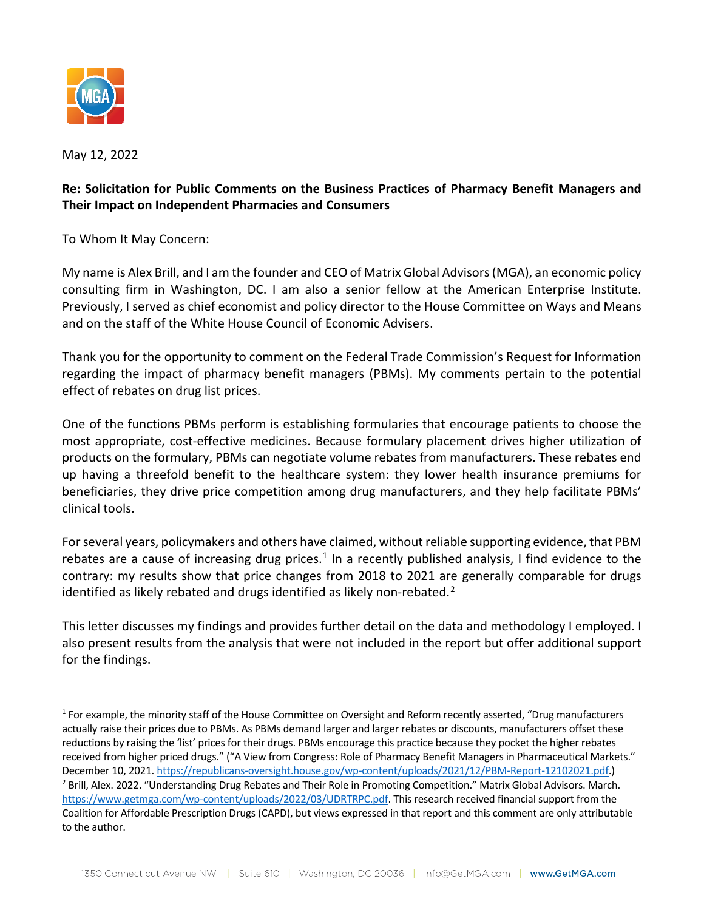

May 12, 2022

# **Re: Solicitation for Public Comments on the Business Practices of Pharmacy Benefit Managers and Their Impact on Independent Pharmacies and Consumers**

To Whom It May Concern:

My name is Alex Brill, and I am the founder and CEO of Matrix Global Advisors (MGA), an economic policy consulting firm in Washington, DC. I am also a senior fellow at the American Enterprise Institute. Previously, I served as chief economist and policy director to the House Committee on Ways and Means and on the staff of the White House Council of Economic Advisers.

Thank you for the opportunity to comment on the Federal Trade Commission's Request for Information regarding the impact of pharmacy benefit managers (PBMs). My comments pertain to the potential effect of rebates on drug list prices.

One of the functions PBMs perform is establishing formularies that encourage patients to choose the most appropriate, cost-effective medicines. Because formulary placement drives higher utilization of products on the formulary, PBMs can negotiate volume rebates from manufacturers. These rebates end up having a threefold benefit to the healthcare system: they lower health insurance premiums for beneficiaries, they drive price competition among drug manufacturers, and they help facilitate PBMs' clinical tools.

For several years, policymakers and others have claimed, without reliable supporting evidence, that PBM rebates are a cause of increasing drug prices.<sup>[1](#page-0-0)</sup> In a recently published analysis, I find evidence to the contrary: my results show that price changes from 2018 to 2021 are generally comparable for drugs identified as likely rebated and drugs identified as likely non-rebated.<sup>[2](#page-0-1)</sup>

This letter discusses my findings and provides further detail on the data and methodology I employed. I also present results from the analysis that were not included in the report but offer additional support for the findings.

<span id="page-0-1"></span><span id="page-0-0"></span> $<sup>1</sup>$  For example, the minority staff of the House Committee on Oversight and Reform recently asserted, "Drug manufacturers</sup> actually raise their prices due to PBMs. As PBMs demand larger and larger rebates or discounts, manufacturers offset these reductions by raising the 'list' prices for their drugs. PBMs encourage this practice because they pocket the higher rebates received from higher priced drugs." ("A View from Congress: Role of Pharmacy Benefit Managers in Pharmaceutical Markets." December 10, 2021[. https://republicans-oversight.house.gov/wp-content/uploads/2021/12/PBM-Report-12102021.pdf.\)](https://republicans-oversight.house.gov/wp-content/uploads/2021/12/PBM-Report-12102021.pdf) <sup>2</sup> Brill, Alex. 2022. "Understanding Drug Rebates and Their Role in Promoting Competition." Matrix Global Advisors. March. [https://www.getmga.com/wp-content/uploads/2022/03/UDRTRPC.pdf.](https://www.getmga.com/wp-content/uploads/2022/03/UDRTRPC.pdf) This research received financial support from the Coalition for Affordable Prescription Drugs (CAPD), but views expressed in that report and this comment are only attributable to the author.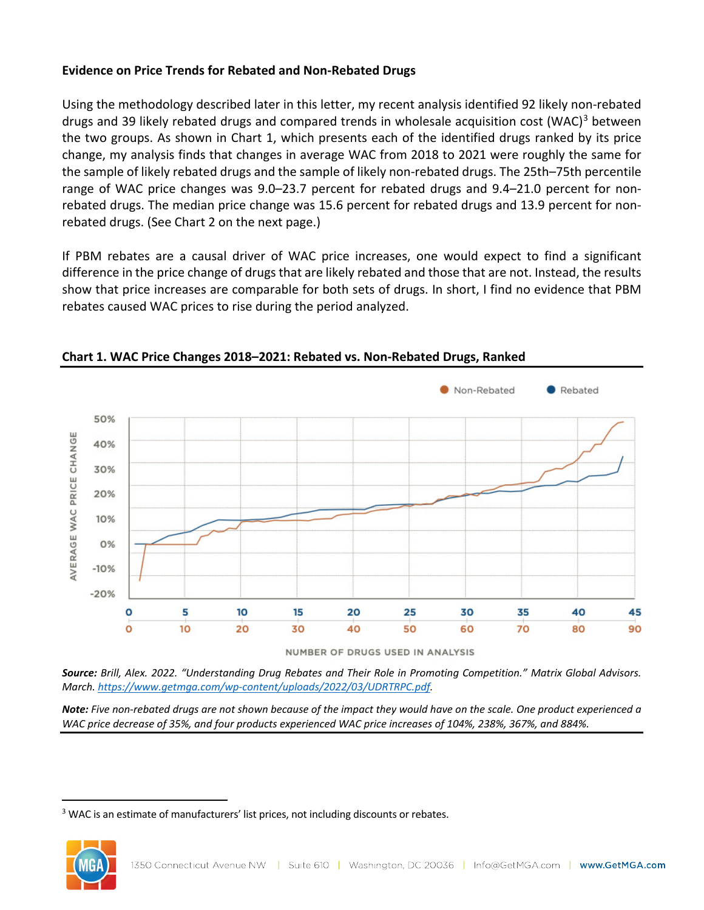## **Evidence on Price Trends for Rebated and Non-Rebated Drugs**

Using the methodology described later in this letter, my recent analysis identified 92 likely non-rebated drugs and [3](#page-1-0)9 likely rebated drugs and compared trends in wholesale acquisition cost (WAC)<sup>3</sup> between the two groups. As shown in Chart 1, which presents each of the identified drugs ranked by its price change, my analysis finds that changes in average WAC from 2018 to 2021 were roughly the same for the sample of likely rebated drugs and the sample of likely non-rebated drugs. The 25th–75th percentile range of WAC price changes was 9.0–23.7 percent for rebated drugs and 9.4–21.0 percent for nonrebated drugs. The median price change was 15.6 percent for rebated drugs and 13.9 percent for nonrebated drugs. (See Chart 2 on the next page.)

If PBM rebates are a causal driver of WAC price increases, one would expect to find a significant difference in the price change of drugs that are likely rebated and those that are not. Instead, the results show that price increases are comparable for both sets of drugs. In short, I find no evidence that PBM rebates caused WAC prices to rise during the period analyzed.



**Chart 1. WAC Price Changes 2018–2021: Rebated vs. Non-Rebated Drugs, Ranked**

NUMBER OF DRUGS USED IN ANALYSIS

*Source: Brill, Alex. 2022. "Understanding Drug Rebates and Their Role in Promoting Competition." Matrix Global Advisors. March. [https://www.getmga.com/wp-content/uploads/2022/03/UDRTRPC.pdf.](https://www.getmga.com/wp-content/uploads/2022/03/UDRTRPC.pdf)*

*Note: Five non-rebated drugs are not shown because of the impact they would have on the scale. One product experienced a WAC price decrease of 35%, and four products experienced WAC price increases of 104%, 238%, 367%, and 884%.*

<span id="page-1-0"></span><sup>&</sup>lt;sup>3</sup> WAC is an estimate of manufacturers' list prices, not including discounts or rebates.

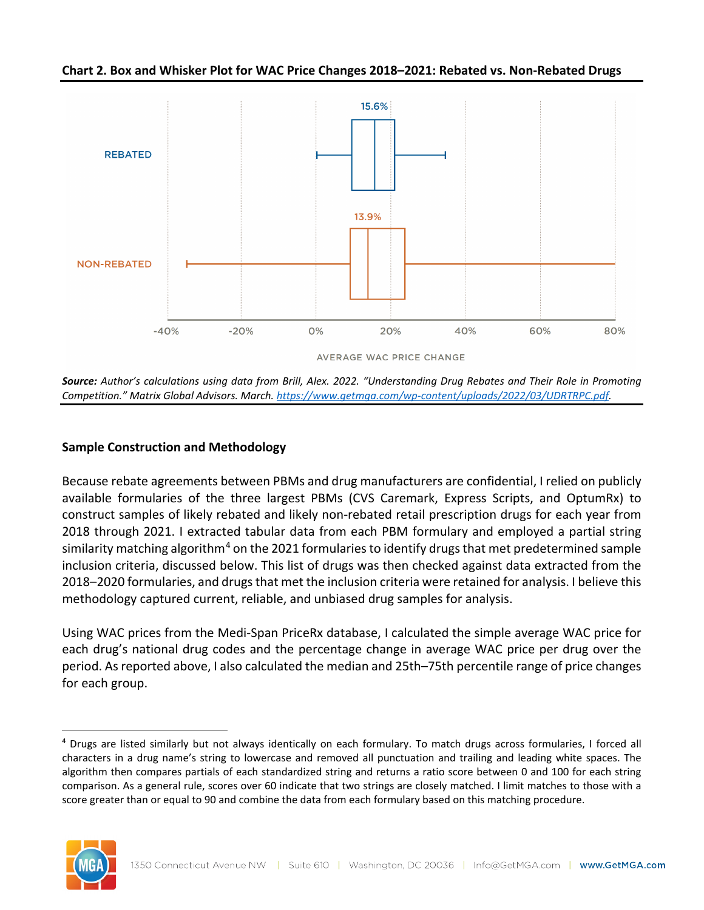**Chart 2. Box and Whisker Plot for WAC Price Changes 2018–2021: Rebated vs. Non-Rebated Drugs**



*Source: Author's calculations using data from Brill, Alex. 2022. "Understanding Drug Rebates and Their Role in Promoting Competition." Matrix Global Advisors. March. [https://www.getmga.com/wp-content/uploads/2022/03/UDRTRPC.pdf.](https://www.getmga.com/wp-content/uploads/2022/03/UDRTRPC.pdf)*

# **Sample Construction and Methodology**

Because rebate agreements between PBMs and drug manufacturers are confidential, I relied on publicly available formularies of the three largest PBMs (CVS Caremark, Express Scripts, and OptumRx) to construct samples of likely rebated and likely non-rebated retail prescription drugs for each year from 2018 through 2021. I extracted tabular data from each PBM formulary and employed a partial string similarity matching algorithm<sup>[4](#page-2-0)</sup> on the 2021 formularies to identify drugs that met predetermined sample inclusion criteria, discussed below. This list of drugs was then checked against data extracted from the 2018–2020 formularies, and drugs that met the inclusion criteria were retained for analysis. I believe this methodology captured current, reliable, and unbiased drug samples for analysis.

Using WAC prices from the Medi-Span PriceRx database, I calculated the simple average WAC price for each drug's national drug codes and the percentage change in average WAC price per drug over the period. As reported above, I also calculated the median and 25th–75th percentile range of price changes for each group.

<span id="page-2-0"></span><sup>4</sup> Drugs are listed similarly but not always identically on each formulary. To match drugs across formularies, I forced all characters in a drug name's string to lowercase and removed all punctuation and trailing and leading white spaces. The algorithm then compares partials of each standardized string and returns a ratio score between 0 and 100 for each string comparison. As a general rule, scores over 60 indicate that two strings are closely matched. I limit matches to those with a score greater than or equal to 90 and combine the data from each formulary based on this matching procedure.

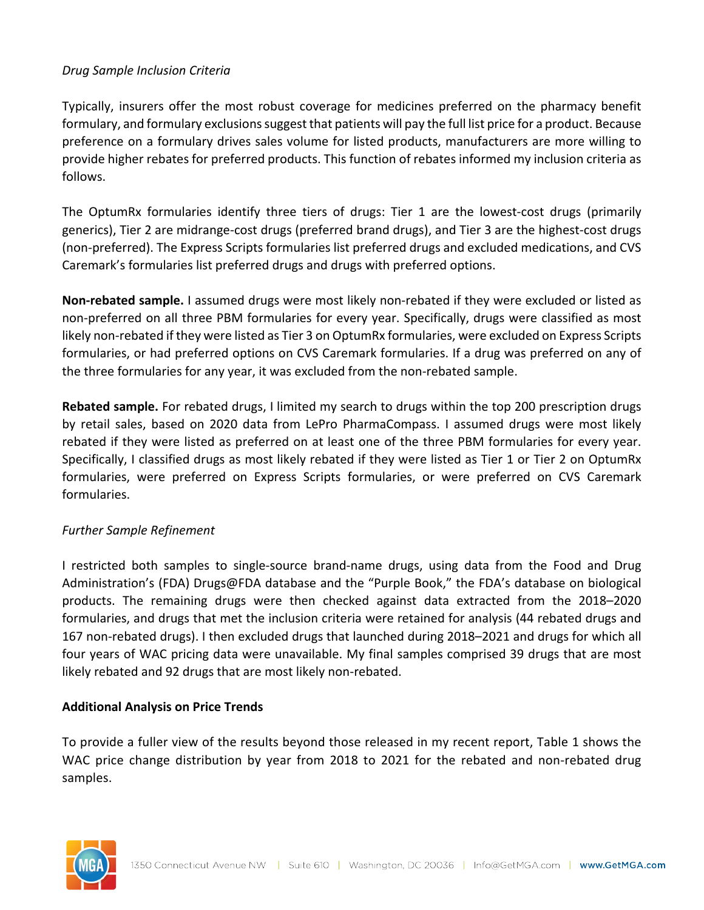### *Drug Sample Inclusion Criteria*

Typically, insurers offer the most robust coverage for medicines preferred on the pharmacy benefit formulary, and formulary exclusionssuggest that patients will pay the full list price for a product. Because preference on a formulary drives sales volume for listed products, manufacturers are more willing to provide higher rebates for preferred products. This function of rebates informed my inclusion criteria as follows.

The OptumRx formularies identify three tiers of drugs: Tier 1 are the lowest-cost drugs (primarily generics), Tier 2 are midrange-cost drugs (preferred brand drugs), and Tier 3 are the highest-cost drugs (non-preferred). The Express Scripts formularies list preferred drugs and excluded medications, and CVS Caremark's formularies list preferred drugs and drugs with preferred options.

**Non-rebated sample.** I assumed drugs were most likely non-rebated if they were excluded or listed as non-preferred on all three PBM formularies for every year. Specifically, drugs were classified as most likely non-rebated if they were listed as Tier 3 on OptumRx formularies, were excluded on Express Scripts formularies, or had preferred options on CVS Caremark formularies. If a drug was preferred on any of the three formularies for any year, it was excluded from the non-rebated sample.

**Rebated sample.** For rebated drugs, I limited my search to drugs within the top 200 prescription drugs by retail sales, based on 2020 data from LePro PharmaCompass. I assumed drugs were most likely rebated if they were listed as preferred on at least one of the three PBM formularies for every year. Specifically, I classified drugs as most likely rebated if they were listed as Tier 1 or Tier 2 on OptumRx formularies, were preferred on Express Scripts formularies, or were preferred on CVS Caremark formularies.

## *Further Sample Refinement*

I restricted both samples to single-source brand-name drugs, using data from the Food and Drug Administration's (FDA) Drugs@FDA database and the "Purple Book," the FDA's database on biological products. The remaining drugs were then checked against data extracted from the 2018–2020 formularies, and drugs that met the inclusion criteria were retained for analysis (44 rebated drugs and 167 non-rebated drugs). I then excluded drugs that launched during 2018–2021 and drugs for which all four years of WAC pricing data were unavailable. My final samples comprised 39 drugs that are most likely rebated and 92 drugs that are most likely non-rebated.

#### **Additional Analysis on Price Trends**

To provide a fuller view of the results beyond those released in my recent report, Table 1 shows the WAC price change distribution by year from 2018 to 2021 for the rebated and non-rebated drug samples.

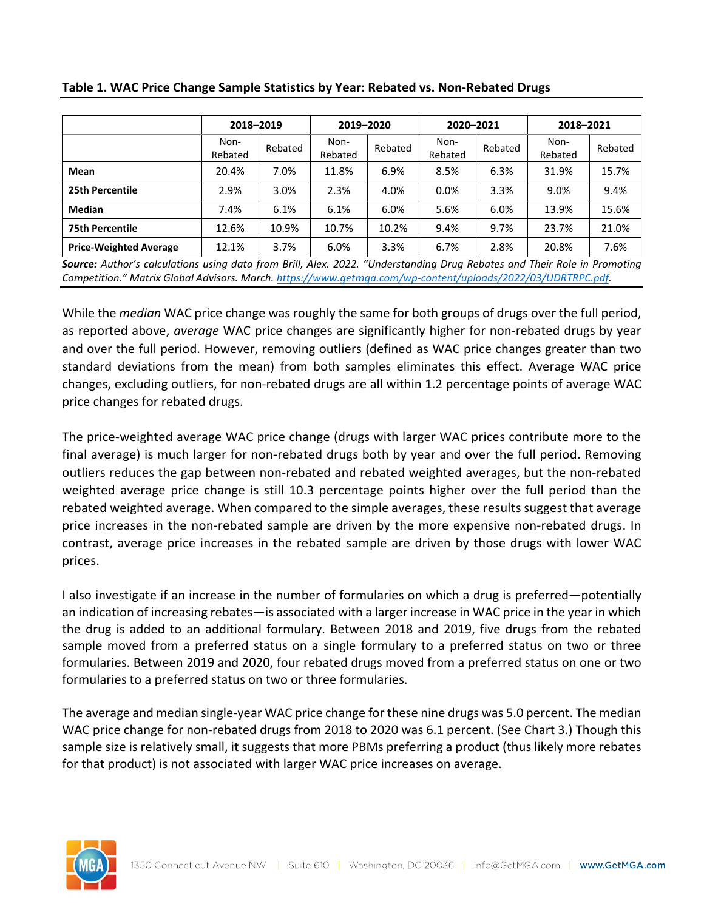|                               | 2018-2019       |         | 2019-2020       |         | 2020-2021       |         | 2018-2021       |         |
|-------------------------------|-----------------|---------|-----------------|---------|-----------------|---------|-----------------|---------|
|                               | Non-<br>Rebated | Rebated | Non-<br>Rebated | Rebated | Non-<br>Rebated | Rebated | Non-<br>Rebated | Rebated |
| Mean                          | 20.4%           | 7.0%    | 11.8%           | 6.9%    | 8.5%            | 6.3%    | 31.9%           | 15.7%   |
| 25th Percentile               | 2.9%            | 3.0%    | 2.3%            | 4.0%    | 0.0%            | 3.3%    | 9.0%            | 9.4%    |
| <b>Median</b>                 | 7.4%            | 6.1%    | 6.1%            | 6.0%    | 5.6%            | 6.0%    | 13.9%           | 15.6%   |
| <b>75th Percentile</b>        | 12.6%           | 10.9%   | 10.7%           | 10.2%   | 9.4%            | 9.7%    | 23.7%           | 21.0%   |
| <b>Price-Weighted Average</b> | 12.1%           | 3.7%    | 6.0%            | 3.3%    | 6.7%            | 2.8%    | 20.8%           | 7.6%    |

#### **Table 1. WAC Price Change Sample Statistics by Year: Rebated vs. Non-Rebated Drugs**

*Source: Author's calculations using data from Brill, Alex. 2022. "Understanding Drug Rebates and Their Role in Promoting Competition." Matrix Global Advisors. March. [https://www.getmga.com/wp-content/uploads/2022/03/UDRTRPC.pdf.](https://www.getmga.com/wp-content/uploads/2022/03/UDRTRPC.pdf)*

While the *median* WAC price change was roughly the same for both groups of drugs over the full period, as reported above, *average* WAC price changes are significantly higher for non-rebated drugs by year and over the full period. However, removing outliers (defined as WAC price changes greater than two standard deviations from the mean) from both samples eliminates this effect. Average WAC price changes, excluding outliers, for non-rebated drugs are all within 1.2 percentage points of average WAC price changes for rebated drugs.

The price-weighted average WAC price change (drugs with larger WAC prices contribute more to the final average) is much larger for non-rebated drugs both by year and over the full period. Removing outliers reduces the gap between non-rebated and rebated weighted averages, but the non-rebated weighted average price change is still 10.3 percentage points higher over the full period than the rebated weighted average. When compared to the simple averages, these results suggest that average price increases in the non-rebated sample are driven by the more expensive non-rebated drugs. In contrast, average price increases in the rebated sample are driven by those drugs with lower WAC prices.

I also investigate if an increase in the number of formularies on which a drug is preferred—potentially an indication of increasing rebates—is associated with a larger increase in WAC price in the year in which the drug is added to an additional formulary. Between 2018 and 2019, five drugs from the rebated sample moved from a preferred status on a single formulary to a preferred status on two or three formularies. Between 2019 and 2020, four rebated drugs moved from a preferred status on one or two formularies to a preferred status on two or three formularies.

The average and median single-year WAC price change for these nine drugs was 5.0 percent. The median WAC price change for non-rebated drugs from 2018 to 2020 was 6.1 percent. (See Chart 3.) Though this sample size is relatively small, it suggests that more PBMs preferring a product (thus likely more rebates for that product) is not associated with larger WAC price increases on average.